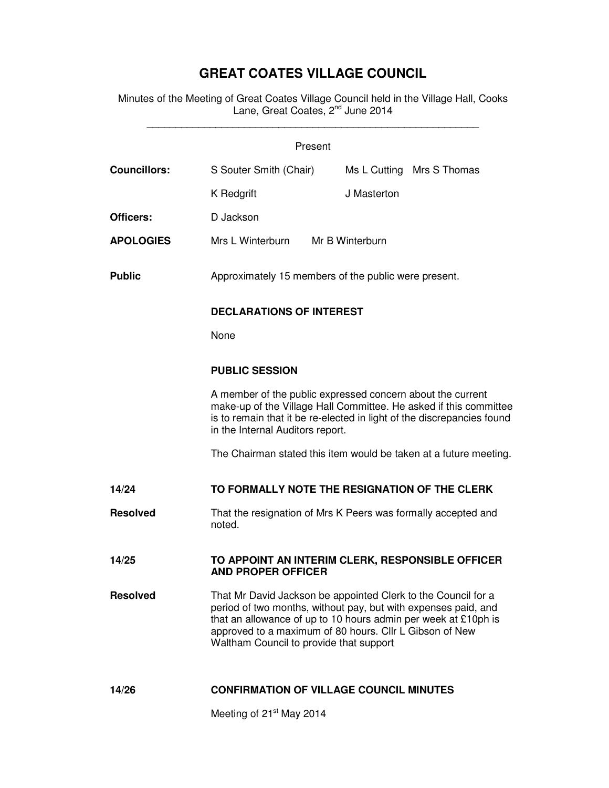## **GREAT COATES VILLAGE COUNCIL**

Minutes of the Meeting of Great Coates Village Council held in the Village Hall, Cooks Lane, Great Coates, 2<sup>nd</sup> June 2014 \_\_\_\_\_\_\_\_\_\_\_\_\_\_\_\_\_\_\_\_\_\_\_\_\_\_\_\_\_\_\_\_\_\_\_\_\_\_\_\_\_\_\_\_\_\_\_\_\_\_\_\_\_\_\_\_\_\_

| Present             |                                                                                                                                                                                                                                                                                                         |                 |                           |
|---------------------|---------------------------------------------------------------------------------------------------------------------------------------------------------------------------------------------------------------------------------------------------------------------------------------------------------|-----------------|---------------------------|
| <b>Councillors:</b> | S Souter Smith (Chair)                                                                                                                                                                                                                                                                                  |                 | Ms L Cutting Mrs S Thomas |
|                     | K Redgrift                                                                                                                                                                                                                                                                                              | J Masterton     |                           |
| Officers:           | D Jackson                                                                                                                                                                                                                                                                                               |                 |                           |
| <b>APOLOGIES</b>    | Mrs L Winterburn                                                                                                                                                                                                                                                                                        | Mr B Winterburn |                           |
| <b>Public</b>       | Approximately 15 members of the public were present.<br><b>DECLARATIONS OF INTEREST</b><br>None                                                                                                                                                                                                         |                 |                           |
|                     |                                                                                                                                                                                                                                                                                                         |                 |                           |
|                     |                                                                                                                                                                                                                                                                                                         |                 |                           |
|                     | <b>PUBLIC SESSION</b><br>A member of the public expressed concern about the current<br>make-up of the Village Hall Committee. He asked if this committee<br>is to remain that it be re-elected in light of the discrepancies found<br>in the Internal Auditors report.                                  |                 |                           |
|                     |                                                                                                                                                                                                                                                                                                         |                 |                           |
|                     | The Chairman stated this item would be taken at a future meeting.                                                                                                                                                                                                                                       |                 |                           |
| 14/24               | TO FORMALLY NOTE THE RESIGNATION OF THE CLERK                                                                                                                                                                                                                                                           |                 |                           |
| <b>Resolved</b>     | That the resignation of Mrs K Peers was formally accepted and<br>noted.                                                                                                                                                                                                                                 |                 |                           |
| 14/25               | TO APPOINT AN INTERIM CLERK, RESPONSIBLE OFFICER<br><b>AND PROPER OFFICER</b>                                                                                                                                                                                                                           |                 |                           |
| <b>Resolved</b>     | That Mr David Jackson be appointed Clerk to the Council for a<br>period of two months, without pay, but with expenses paid, and<br>that an allowance of up to 10 hours admin per week at £10ph is<br>approved to a maximum of 80 hours. Cllr L Gibson of New<br>Waltham Council to provide that support |                 |                           |
| 14/26               | <b>CONFIRMATION OF VILLAGE COUNCIL MINUTES</b>                                                                                                                                                                                                                                                          |                 |                           |
|                     | Meeting of 21 <sup>st</sup> May 2014                                                                                                                                                                                                                                                                    |                 |                           |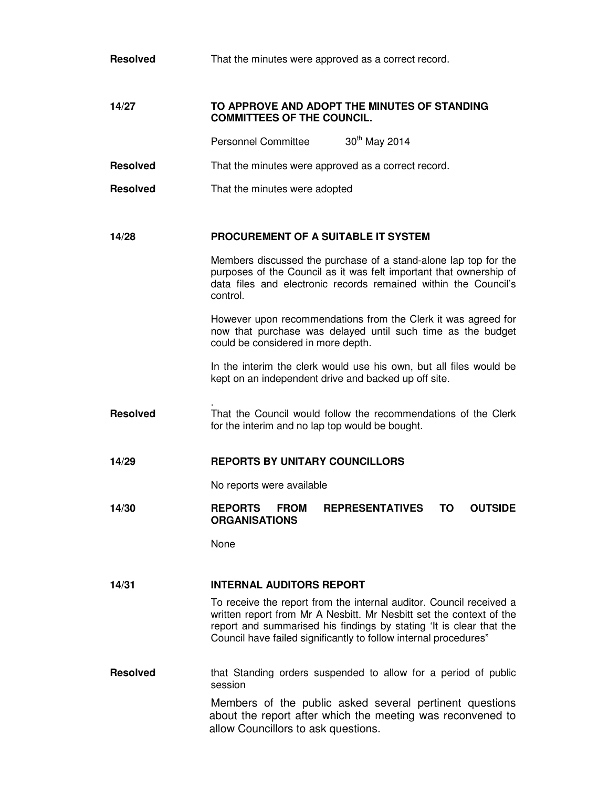| <b>Resolved</b> | That the minutes were approved as a correct record.                                                                                                                                                                                                                                   |  |  |
|-----------------|---------------------------------------------------------------------------------------------------------------------------------------------------------------------------------------------------------------------------------------------------------------------------------------|--|--|
| 14/27           | TO APPROVE AND ADOPT THE MINUTES OF STANDING<br><b>COMMITTEES OF THE COUNCIL.</b>                                                                                                                                                                                                     |  |  |
|                 | 30 <sup>th</sup> May 2014<br><b>Personnel Committee</b>                                                                                                                                                                                                                               |  |  |
| <b>Resolved</b> | That the minutes were approved as a correct record.                                                                                                                                                                                                                                   |  |  |
| <b>Resolved</b> | That the minutes were adopted                                                                                                                                                                                                                                                         |  |  |
| 14/28           | PROCUREMENT OF A SUITABLE IT SYSTEM                                                                                                                                                                                                                                                   |  |  |
|                 | Members discussed the purchase of a stand-alone lap top for the<br>purposes of the Council as it was felt important that ownership of<br>data files and electronic records remained within the Council's<br>control.                                                                  |  |  |
|                 | However upon recommendations from the Clerk it was agreed for<br>now that purchase was delayed until such time as the budget<br>could be considered in more depth.                                                                                                                    |  |  |
|                 | In the interim the clerk would use his own, but all files would be<br>kept on an independent drive and backed up off site.                                                                                                                                                            |  |  |
| <b>Resolved</b> | That the Council would follow the recommendations of the Clerk<br>for the interim and no lap top would be bought.                                                                                                                                                                     |  |  |
| 14/29           | <b>REPORTS BY UNITARY COUNCILLORS</b>                                                                                                                                                                                                                                                 |  |  |
|                 | No reports were available                                                                                                                                                                                                                                                             |  |  |
| 14/30           | <b>REPORTS</b><br><b>FROM</b><br><b>REPRESENTATIVES</b><br>ΤO<br><b>OUTSIDE</b><br><b>ORGANISATIONS</b>                                                                                                                                                                               |  |  |
|                 | None                                                                                                                                                                                                                                                                                  |  |  |
| 14/31           | <b>INTERNAL AUDITORS REPORT</b>                                                                                                                                                                                                                                                       |  |  |
|                 | To receive the report from the internal auditor. Council received a<br>written report from Mr A Nesbitt. Mr Nesbitt set the context of the<br>report and summarised his findings by stating 'It is clear that the<br>Council have failed significantly to follow internal procedures" |  |  |
| <b>Resolved</b> | that Standing orders suspended to allow for a period of public<br>session                                                                                                                                                                                                             |  |  |
|                 | Members of the public asked several pertinent questions<br>about the report after which the meeting was reconvened to<br>allow Councillors to ask questions.                                                                                                                          |  |  |